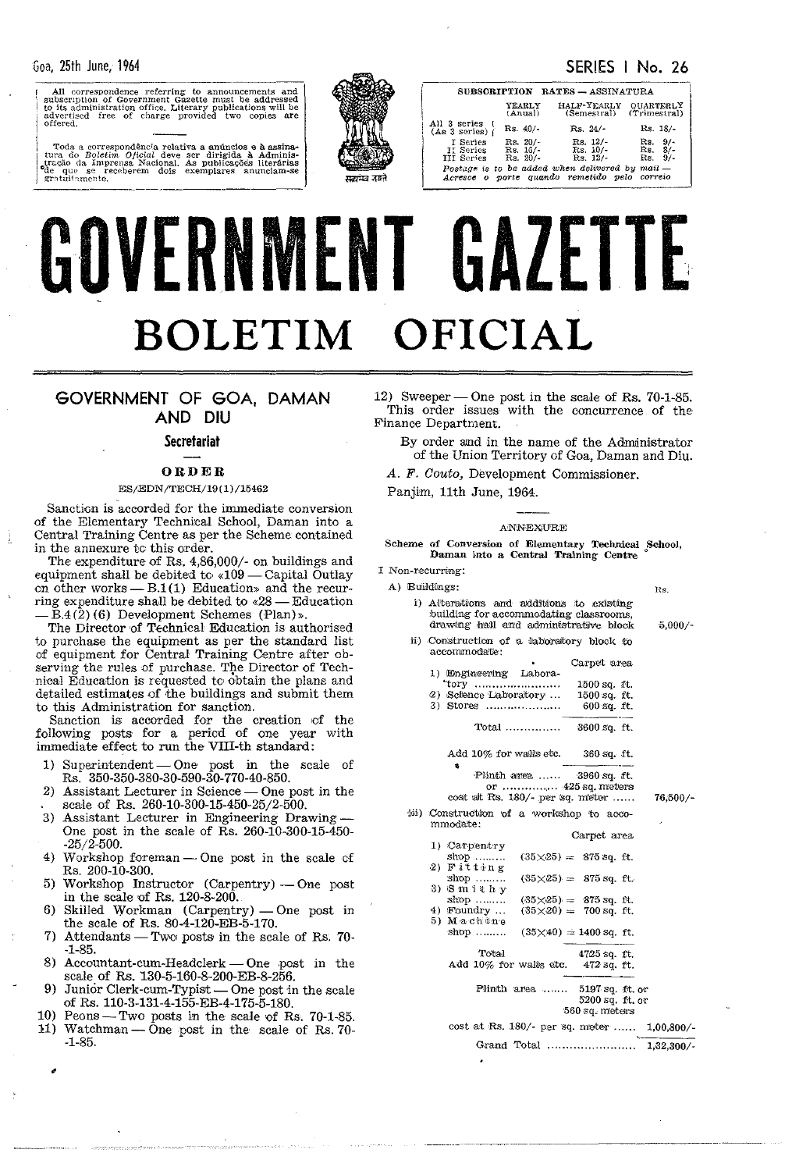SERIES I No. 26

| All correspondence referring to announcements and<br>subscription of Government Gazette must be addressed<br>to its administration office. Literary publications will be<br>advertised free of charge provided two copies are<br>offered. |  |  |  |  |  |  |  |  |
|-------------------------------------------------------------------------------------------------------------------------------------------------------------------------------------------------------------------------------------------|--|--|--|--|--|--|--|--|
|                                                                                                                                                                                                                                           |  |  |  |  |  |  |  |  |

Toda a correspondência relativa a anúncios e à assinatura do Boletim Oficial deve ser dirigida à Administração da Imprensa Nacional. As publicações literárias de que se receberem dois exemplares anunciam-se gratuitamente. ede que se receberem dois exempla<br>
gratuitamente.



|             | YEARLY<br>(Anual)                                                         | HALF-YEARLY QUARTERLY<br>(Semestral) (Trimestral)                                                 |
|-------------|---------------------------------------------------------------------------|---------------------------------------------------------------------------------------------------|
|             | All 3 series<br>$Rs.40/-$<br>(As 3 series)                                | $Rs. 24/-$<br>$Rs. 18/-.$                                                                         |
|             | I Series<br>$Rs. 20/-$<br>Il Series<br>Rs. 16/-<br>Rs. 20/-<br>III Series | $Rs. 12/-$<br>9/<br>Rs.<br>$Rs. 8/$ -<br>$\text{Rs. }10/-$<br>$Rs. 9/-$<br>$Rs. 12/-.$            |
| क्रमेव उबने |                                                                           | Postage is to be added when delivered by $mail$ -<br>Acresce o porte quando remetido pelo correio |
|             |                                                                           |                                                                                                   |

SUBSCRIPTION RATES - ASSINATURA

# GOVERNMENT GAZETTE **BOLETIM OFICIAL**

# GOVERNMENT OF GOA, DAMAN AND DIU

# **Secretariat**

# ORDER

# ES/EDN/TECH/19 (1) /15462

Sanction is accorded for the immediate conversion of the Elementary Technical School, Daman into a Central Training Centre as per the Scheme contained in the annexure to this order.

The expenditure of Rs. 4,86,000/- on buildings and equipment shall be debited to «109 - Capital Outlay on other works  $- B.1(1)$  Education» and the recurring expenditure shall be debited to  $\leq 28$  - Education - B.4(2)(6) Development Schemes (Plan)».

The Director of Technical Education is authorised to purchase the equipment as per the standard list of equipment for Central Training Centre after observing the rules of purchase. The Director of Technical Education is requested to' obtain the plans and detailed estimates of the buildings and submit them to this Administration for sanction.

Sanction is accorded for the creation ef the following posts for a period of one year with immediate effect to run the VIII-th standard:

- 1) Superintendent One post in the scale of Rs. 350-350-380-30-590-30-770-40-850.
- Assistant Lecturer in Science One post in the scale of Rs. 260-10-300-15-450-25/2-500.
- 3) Assistant Lecturer in Engineering Drawing-One post in the scale of  $R_s$ . 260-10-300-15-450--25/2-500.
- 4) Workshop foreman  $-$  One post in the scale of Rs. 200-10-300.
- Workshop Instructor (Carpentry) One post in the scale of Rs.  $120-8-200$ .
- 6) Skilled Workman (Carpentry) One post in the scale of Rs.  $80-4-120-EB-5-170$ .
- 7) Attendants Two posts in the scale of Rs. 70--1-85.
- 8) Accountant-cum-Headclerk  $-$  One post in the scale of Rs. 130-5-160-8-200-EB-8-256.
- 9) Junior Clerk-cum-Typist One post in the scale of Rs. 110-3-131-4-155-EB-4-175-5-180.
- 10) Peons-Two posts in the scale of Rs. 70-1-85. 11) Watchman - One post in the scale of Rs. 70--1-85.

12) Sweeper - One post in the scale of Rs.  $70-1-85$ . This order issues with the concurrence of the Finance Department.

By order amd in the name of the Adnuinistrator of the Union Territory of Goa, Daman and Diu.

*A.* F. *Couto,* Development Commissioner.

Panjim, 11th June, 1964.

# ANNEXURE

Scheme of Conversion of Elementary Technical School, Daman into a Central Training Centre

Hs.

 $5,000/-$ 

76;500/-

|  | I Non-recurring: |  |
|--|------------------|--|
|--|------------------|--|

|  | A) Buildings:                            |
|--|------------------------------------------|
|  | i) Alterations and additions to existing |
|  | building for accommodating classrooms.   |
|  | drawing hall and administrative block    |

- ii) Construction of a laboratory block to aocommodate: Carpet area
	- 1) Engineering Labora-"tory .....•..•.. -............ . 2) Soience Laboratory ... 1500 sq. H.
	- 1500 sq. ft. 3) Stores .......................

Total ........•...... 3600 sq. ft.

Add  $10\%$  for walls etc. 360 sq. ft.

• Plinth area ...... 3960 sq. ft.

|  |  |  | or $425$ sq. meters               |  |
|--|--|--|-----------------------------------|--|
|  |  |  | cost at Rs. $180/-$ per sq. meter |  |

iii) Construction of a workshop to accommodate:

|                                    |             | Carpet area                   |  |
|------------------------------------|-------------|-------------------------------|--|
| 1) Carpentry                       |             |                               |  |
| $shop$                             |             | $(35\times25) = 875$ sq. ft.  |  |
| $2)$ Fitting                       |             |                               |  |
| shop $\ldots$                      |             | $(35\times25) = 875$ sq. ft.  |  |
| $3)$ Smithy                        |             |                               |  |
|                                    |             | $(35\times25) = 875$ sq. ft.  |  |
| $4)$ Foundry                       |             | $(35\times20) = 700$ sq. ft.  |  |
| 5) Machtne                         |             |                               |  |
| shop                               |             | $(35\times40) = 1400$ sq. ft. |  |
| Total                              |             | 4725 sq. ft.                  |  |
| Add 10% for walls etc. 472 sq. ft. |             |                               |  |
|                                    | Plinth area | 5197 sq. ft. or               |  |
|                                    |             | 5200 sq. ft. or               |  |
|                                    |             | 560 sq. meters                |  |

cost at Rs. 180/- per sq. meter...... 1,00,800/-Grand Total ............................ 1,32,300/-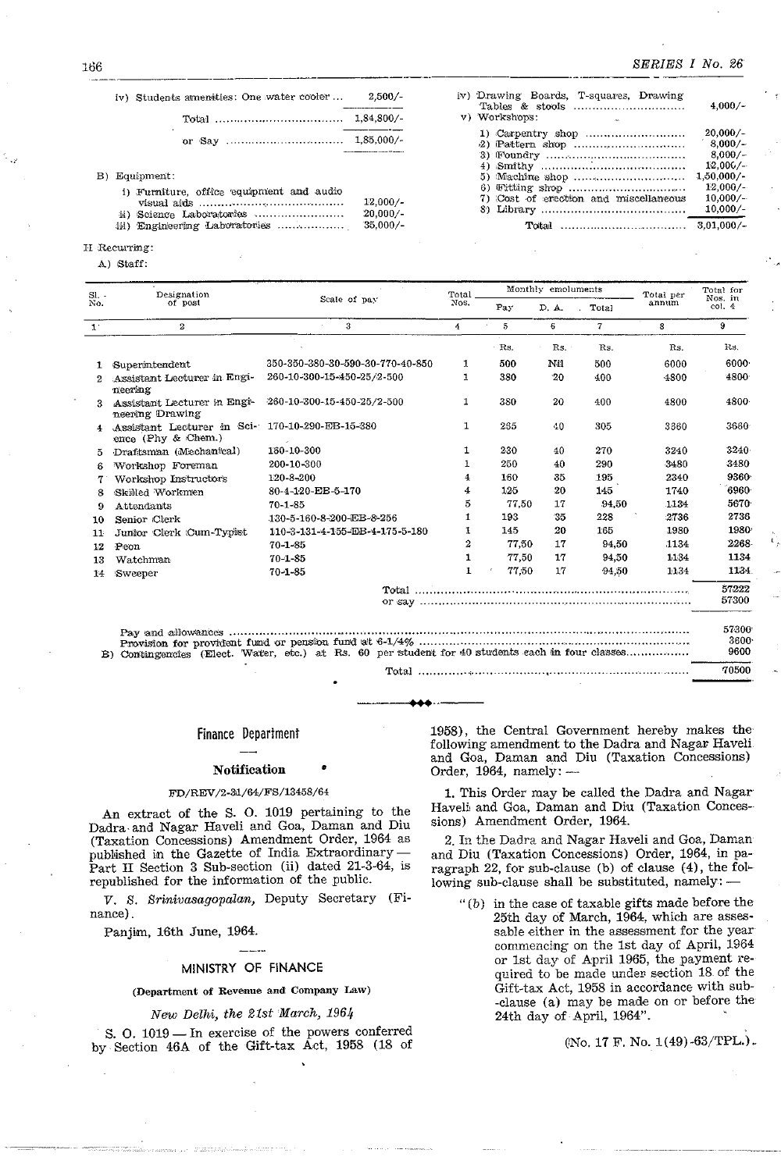$4,000/-$ 

20,000/-

 $8,000/-$ 

 $8.000 / -$ 

 $12.006$ /-

 $12,000/-$ 

 $10,000/ 10,000/$ -

 $1,50,000/$ -

 $3,01,000/-$ 

 $2.500/$ iv) Students amenities: One water cooler...

| iv) Students amenities: One water cooler                  | $2.500/-$                | iv) Drawing Boards, T-squares, Drawing |
|-----------------------------------------------------------|--------------------------|----------------------------------------|
|                                                           |                          | v) Workshops:                          |
|                                                           |                          |                                        |
| B) Equipment:<br>i) Furniture, office equipment and audio | $12.000/-$               | 7) Cost of erection and miscellaneous  |
| ii) Science Laboratories<br>iii) Engineering Laboratories | $20,000/-$<br>$35.000/-$ |                                        |

# II Recurring:

A) Staff:

| S1.          | Designation                                         |                                                                                                  | Total        |                       | Monthly emoluments |                | Total per | Total for<br>Nos. in  |  |
|--------------|-----------------------------------------------------|--------------------------------------------------------------------------------------------------|--------------|-----------------------|--------------------|----------------|-----------|-----------------------|--|
| No.          | of post                                             | Scale of pay                                                                                     | Nos.         | Pay                   | D. A.              | Total          | annum     | col. 4                |  |
| $1^{\circ}$  | $\mathbf{2}$                                        | 3                                                                                                | 4            | 5                     | 6                  | $\overline{7}$ | 8         | 9                     |  |
|              |                                                     |                                                                                                  |              | Rs.                   | Rs.                | Rs.            | Rs.       | Rs.                   |  |
| 1.           | Superintendent                                      | 350-350-380-30-590-30-770-40-850                                                                 | 1            | 500                   | Nil                | 500            | 6000      | 6000                  |  |
| 2            | Assistant Lecturer in Engi-<br>neering              | 260-10-300-15-450-25/2-500                                                                       | 1            | 380                   | 20                 | 400            | 4800      | 4800                  |  |
| 3.           | Assistant Lecturer in Engl-<br>neering Drawing      | $-260 - 10 - 300 - 15 - 450 - 25/2 - 500$                                                        | 1            | 380                   | 20                 | 400            | 4800      | 4800                  |  |
| 4            | Assistant Lecturer in Sci-<br>ence (Phy $\&$ Chem.) | 170-10-290-EB-15-380                                                                             | 1            | 265                   | 40                 | 305            | 3360      | 3660                  |  |
| ŏ.           | Draftsman (Mechanical)                              | 160-10-300                                                                                       | 1            | 230                   | 40                 | 270            | 3240      | $3240 -$              |  |
| 6            | Workshop Foreman                                    | 200-10-300                                                                                       |              | 250                   | 40                 | 290            | 3480      | 3480                  |  |
|              | Workshop Instructors                                | 120-8-200                                                                                        | 4            | 160                   | 35                 | 195            | 2340      | 9360                  |  |
| я            | Skilled Workmen                                     | 80-4-120-EB-5-170                                                                                | 4            | 125                   | 20                 | 145            | 1740      | 6960                  |  |
| 9            | Attendants                                          | $70 - 1 - 85$                                                                                    | 5            | 77.50                 | 17                 | 94,50          | 1134      | 5670                  |  |
| 10           | Senior Clerk                                        | 130-5-160-8-200-EB-8-256                                                                         | 1            | 193                   | 35                 | 228            | 2736      | 2736                  |  |
| $11^{\circ}$ | Junior Clerk Cum-Typist                             | 110-3-131-4-155-EB-4-175-5-180                                                                   | 1            | 145                   | 20                 | 165            | 1930      | 1980                  |  |
| 12           | Peon                                                | $70 - 1 - 85$                                                                                    | 2            | 77.50                 | 17                 | 94,50          | 1134      | 2268                  |  |
| 13           | Watchman                                            | $70 - 1 - 85$                                                                                    | 1            | 77,50                 | 17                 | 94.50          | 1134      | 1134                  |  |
| 14           | Sweeper                                             | $70 - 1 - 85$                                                                                    | $\mathbf{1}$ | 77.50<br>$\mathbf{r}$ | 17                 | 94,50          | 1:1.34    | 1134                  |  |
|              |                                                     |                                                                                                  |              |                       |                    |                |           | 57222<br>57300        |  |
|              |                                                     | B) Contingencies (Elect. Water, etc.) at Rs. 60 per student for 40 students each in four classes |              |                       |                    |                |           | 57300<br>3600<br>9600 |  |
|              |                                                     |                                                                                                  |              |                       |                    |                |           | 70500                 |  |

# **Finance Department**

# **Notification**

# FD/REV/2-31/64/FS/13458/64

An extract of the S. O. 1019 pertaining to the Dadra and Nagar Haveli and Goa, Daman and Diu (Taxation Concessions) Amendment Order, 1964 as published in the Gazette of India Extraordinary Part II Section 3 Sub-section (ii) dated 21-3-64, is<br>republished for the information of the public.

V. S. Srinivasagopalan, Deputy Secretary (Finance).

Panjim, 16th June, 1964.

# MINISTRY OF FINANCE

# (Department of Revenue and Company Law)

# New Delhi, the 21st March, 1964

S. O. 1019 - In exercise of the powers conferred by Section 46A of the Gift-tax Act, 1958 (18 of 1958), the Central Government hereby makes the following amendment to the Dadra and Nagar Haveli and Goa, Daman and Diu (Taxation Concessions) Order,  $1964$ , namely:  $-$ 

1. This Order may be called the Dadra and Nagar Haveli and Goa, Daman and Diu (Taxation Concessions) Amendment Order, 1964.

2. In the Dadra and Nagar Haveli and Goa, Daman and Diu (Taxation Concessions) Order, 1964, in paragraph 22, for sub-clause (b) of clause (4), the following sub-clause shall be substituted, namely: -

 $f(b)$  in the case of taxable gifts made before the 25th day of March, 1964, which are assessable either in the assessment for the year commencing on the 1st day of April, 1964 or 1st day of April 1965, the payment required to be made under section 18 of the Gift-tax Act, 1958 in accordance with sub--clause (a) may be made on or before the 24th day of April, 1964".

(No. 17 F. No. 1(49)-63/TPL.).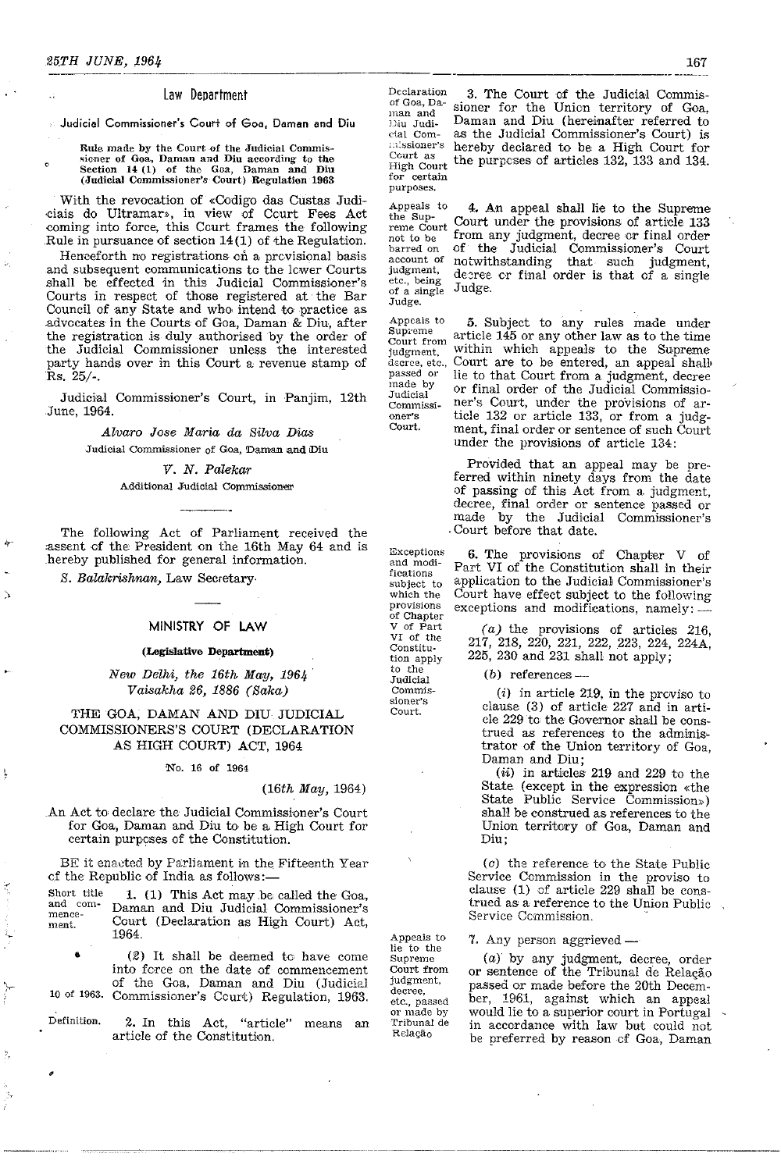o

# Law Department

Judicial Commissioner's Court of Goa. Daman and Diu

### Rule made by the Court of the Judicial Commissioner of Goa, Daman and Diu according to the Section 14 (1) of the Goa, Daman and Diu (Judicial Commissioner's Court) Regulation 1963

With the revocation of «Codigo das Custas Judidais do Ultramar», in view of Court Fees Act coming into force, this Court frames the following Rule in pursuance of section 14(1) of the Regulation.

Henceforth no registrations en a previsional basis and subsequent communications to the lower Courts shall be effeeted in this Judieial Commissioner's Courts in respect of those registered at· the Bar Council of any State and who. intend to practice as .advocates in the Oourts of Goa, Daman & Diu, after the registration is duly authorised by the order of the Judicial Commissioner unless the interested party hands over in this Court a revenue stamp of Rs. 25/-.

Judicial Commissioner's Court, in Panjim, 12th June, 1964.

> Alvaro Jose Maria da Silva Dias Judicial Commissioner of Goa, Daman and Diu

> > V. N. Palekar

# Additional Judicial Commissioner

The following Act of Parliament received the assent of the President on the 16th May 64 and is hereby published for general information.

S. Balakrishnan, Law Secretary·

'r'

ţ

•

# MINISTRY OF LAW

# (Legislative Department)

New Delhi, the 16th May, 1964 Vaisakha 26, 1886 (Saka)

# THE GOA, DAMAN AND DIU JUDICIAL COMMISSIONERS'S COURT (DEOLARATION AS HIGH COURT) ACT, 1964

# 'No. 16 of 1964

# (16th May, 1964)

An Act to declare the Judicial Commissioner's Court for Goa, Daman and Diu to, be a High Court for certain purpcses of the Constitution.

BE it enacted by Parliament in the Fifteenth Year of the Republic of India as follows:-

Short title and commencement. 1. (1) This Act may.be called the Goa, Daman and Diu Judicial Commissioner's Court (Declaration as High Court) Act, 1964.

• 10 of 1963. (2) It shall be deemed to' have come into force on the date of commencement of the Goa, Daman and Diu (Judicial Commissioner's Court) Regulation, 1963.

Definition. 2. In this Act, "article" means an article of the Constitution .

.. \_\_ . \_\_ ...... \_. \_\_ •.. \_--------

Declaration 3. The Court of the Judicial Commis-<br>of Goa, Data circums from the United transitions of  $\Omega$ of Goa, Da-<br>man and<br>Diu Jundi- Daman and Diu (hereinafter referred to Italian and Daman and Diu (hereinafter referred to Diu Judicial Commissioner's Court) is cial Com· as the Judicial Commissioner's Court) is hereby declared to be a High Court for Court as<br>High Court<br>for certain the purposes of articles  $132$ ,  $133$  and  $134$ . purposes.

Appeals to<br>the Supreme Court not to be barred on<br>account of judgment, etc., being of a single Judge. 4. An appeal shall lie to the Supreme Court under the provisions of article 133 from any judgment, decree or final order of the Judicial Commissioner's Court notwithstanding that such judgment, decree or final order is that of a single Judge.

Appeals to Supreme Court from judgment, decree, etc.,<br>passed or made by Commissi-5. Subject to any rules made under article 145 or any other law as to the time within which appeals to the Supreme' Court are to be entered, an appeal shall lie to that Court from a judgment, decree or final order of the Judicial Commissioner's Court, under the provisions of article 132 or article 133, or from a judgment, final order or sentence of such Court under the provisions of article 134:

> Provided that an appeal may be preferred within ninety days from the date of passing of this Act from a judgment, decree, final order or sentence passed or made by the Judicial Commissioner's Court before that date.

Exceptions and modi-6. The provisions of Chapter V of Part VI of the Constitution shall in their application to the Judicial, Commissioner's Court have effect subject to the following exceptions and modifications, namely:

> (a) the provisions of articles 216, 217, 218, 220, 221, 222, 223, 224, 224A, 225, 230 and 231 shall not apply;

(b) references  $-$ 

(i) in article 219, in the prcviso to clause (3) of article 227 and in article 229 to the Governor shall be construed as references to the administrator of the Union territory of Goa, Daman and Diu;

(ii) in articles 219 and 229 to the State (except in the expression «the State Public Service Commission» ) shaH be construed as references to the Union territory of Goa, Daman and Diu;

 $(c)$  the reference to the State Public Service Ccmmission in the proviso to clause (1) of article 229 shall be construed as a reference to the Union Public Service Commission.

7. Any person aggrieved —

(a) by any judgment, decree, order or sentence of the Tribunal de Relação passed or made before the 20th Decem· ber, 1961, against which an appeal would lie to a. superior court in Portugal in accordance with law but could not be preferred by reason of Goa, Daman

subject to which the provisions of Chapter Constituto the Judicial Commissioner's

fications

Judicial

oner's Court.

V of Part VI of the tion apply Court.

lie to the Supreme Court from judgment, decree, etc., passed or made by Tribunal de Re1aQao

Appeals to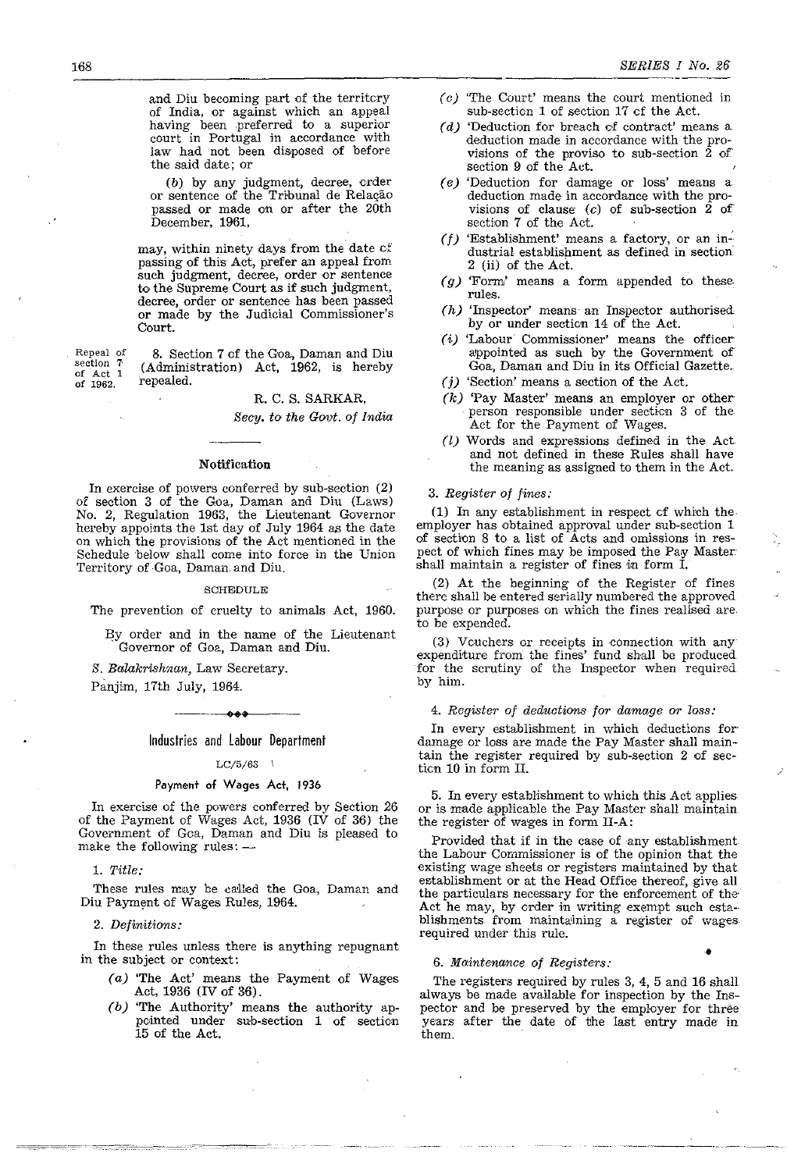and Diu becoming part of the territcry of India, or against which an appeal having been preferred to a superior court in Portugal in accordance with law had not been disposed of before the said date; or

(b) by any judgment, decree, crder or sentence of the Tribunal de Relação passed or made on or after the 20th December, 1961,

may, within ninety days from the date *ci'*  passing of this Act, prefer an appeal from such judgment, decree, order or sentence to the Supreme Court as if such judgment, decree, order or sentence has been passed or made by the Judicial Commissioner's Court.

**Repeal of section** 7· **of Act 1**  of 1962,

8. Section 7 of the Goa, Daman and Diu (Administration) Act, 1962, is hereby repealed.

# R. C. S. SARKAR,

*Secy. to the Govt. of India* 

# Notification

In exercise of powers conferred by sub-section (2) of section 3 of the Goa, Daman and Diu (Laws) No.2, Regulation 1963, the Lieutenant Governor hereby appoints the 1st day of July 1964 as the date on which the provisions of the Act mentioned in the Schedule 'below shall come into force in the Union Territory of Goa, Daman. and Diu,

# SOHEDULE

The prevention of cruelty to animals Act, 1960.

By order and in the name of the Lieutenant Governor of Goa, Daman and Diu.

*S. Balakrishnan,* Law Secretary.

Panjim, 17th July, 1964. ----++' •• ---

# Industries and labour Department

# $LC/5/63$

# Payment of Wages Act, 1936

In exercise of the powers conferred by Section 26 of the Payment of Wages Act, 1936 (IV of 36) the Govemment of Goa, Daman and Diu is pleased to make the following rules: $-$ 

1. *Title:* 

;o~ \_\_ --:~-- -.-.. -. -"=,,\_" \_'----\_\_\_\_ \_

These rules may be called the Goa, Daman and Diu Payment of Wages Rules, 1964.

# *2. Definitions:*

In these rules unless there is anything repugnant in the subject or context:

- (a) 'The Act' means the Payment of Wages Act, 1936 (IV of 36).
- *(b)* 'The Authority' means the authority appointed under sub-section 1 of section 15 of the Act.
- $(c)$  'The Court' means the court mentioned in sub-section 1 of section 17 of the Act.
- *(d)* 'Deduction for breach cf contract' means a deduction made in accordance with the provisions of the proviso to sub-section  $\overline{2}$  of section 9 of the Act.
- *(e)* 'Deduction for damage or loss' means a deduction made in accordance with the provisions of clause  $(c)$  of sub-section 2 of section 7 of the Act.
- ( $f$ ) 'Establishment' means a factory, or an industrial establishment as defined in section 2 (ii) of the Act.
- *(g)* 'Form' means a form appended to these. rules.
- *(h)* 'Inspector' means' an Inspector authorised by or under section 14 of the Act.
- (i) 'Labour Commissioner' means the officer appointed as such by the Government of Goa, Daman and Diu in its Official Gazette.
- (j) 'Section' means a section of the Act.
- *(k)* 'Pay Master' means an employer or other person responsible under section 3 of the Act for the Payment of Wages.
- (I) Words and expressions defined in the Act and not defined in these Rules shall have the meaning as assigned to them in the Act,

# *3. Register of fines:*

(1) In any establishment in respect cf which the, employer has obtained approval under sub-section 1 of section 8 to a list of Acts and omissions in respect of which fines may be imposed the Pay Master shall maintain a register of fines in form I.

(2) At the beginning of the Register of fines there shall be entered serially numbered the approved purpose or purposes on which the fines realised are to be expended.

(3) Vcuchers or receipts in connection with any expenditure from the fines' fund shall be produced for the scrutiny of the Inspector when required by him.

# *4. Register of deduotions for damage or loss:*

In every establishment in which deductions for damage or loss are made the Pay Master shall maintain the register required by sub-section 2 of secticn 10 in form II.

5. In every establishment to which this Act applies or is made applicable the Pay Master shall maintain the register of wages in form II-A:

Provided that if in the case of any establishment the Labour Commissioner is of the opinion that the existing wage sheets or registers maintained by that establishment or at the Head Office thereof, give all the particulars necessary for the enforcement of the Act he may, by crder in writing exempt such establishments from maintaining a register of wages. required under this rule.

# • *6. lWaintenance of Registers:*

The registers required by rules 3, 4, 5 and 16 shall always be made available for inspection by the Inspector and be preserved by the employer for three years after the date of the last entry made in them, .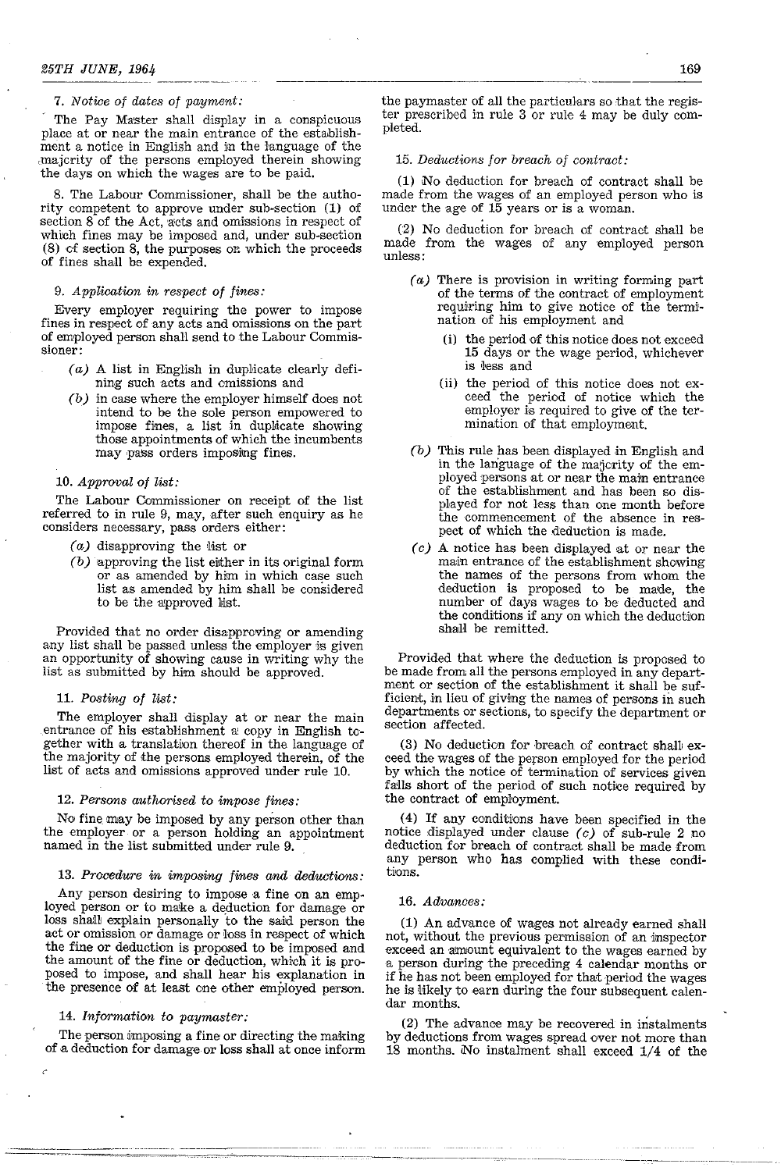# *7. Notice of dates of payment:*

The Pay Master shall display in a conspicuous place at or near the main entrance of the estahlishment a notice in English and in the language of the ,majority of the persons employed therein showing the days on which the wages are to be paid.

8. The Labour Commissioner, shall be the authority competent to approve under sub-section (1) of section  $8$  of the Act,  $a$ cts and omissions in respect of which fines may be imposed and, under sub-section  $(8)$  cf section  $8$ , the purposes on which the proceeds of fines shall he expended.

# *9. Application in respect of fines:*

Every employer requiring the power to impose fines in respect of any acts and omissions on the part of employed person shall send to the Labour Commis**sioner:** 

- $(a)$  A list in English in duplicate clearly defining such acts and emissions and
- *(b)* in case where the employer himself does not intend to be the sole person empowered to impose fines, a list in duplicate showing those appointments of which the incumbents may pass orders imposing fines.

# *10. Approval of list:*

The Labour Commissioner on receipt of the list referred to in rule 9, may, after such enquiry as he considers necessary, pass orders either:

- $(a)$  disapproving the list or
- *(b)* approving the list either in its original form or as amended by him in which case such list as amended by him shall be considered to be the approved list.

Provided that no order disapproving or amending any list shall be passed unless the employer is given an opportunity of showing cause in writing why the list as submitted by him should be approved.

# *11. Posting of list:*

The employer shall display at or near the main entrance of his establishment a copy in English together with a translation thereof in the language of the majority of the persons employed therein, of the list of acts and omissions approved under rule 10.

# *12. Persons authorised to impose fines:*

NO' fine may be imposed by any person other than the employer or a person holding an appointment named in the list submitted under rule 9.

# *13. Procedure in imposing fines and deductions:*

Any person desiring to impose a fine on an employed person or to make a deduction for damage or loss shall explain personally to the said person the act or omission or damage or loss in respect of which the fine or deduction is proposed to be imposed and the amount of the fine or deduction, which it is proposed to impose, and shall hear his explanation in the presence of at least one other employed person.

# *14. Information to paymaster:*

The person imposing a fine or directing the making of a deduction for damage or loss shall at once inform

-----~---- ---------

the paymaster of all the particulars so that the register prescribed in rule  $3$  or rule  $4$  may be duly completed.

# *15. Deductions for breach of contract:*

(1) No deduction for breach of contract shall be made from the wages of an employed person who is under the age of  $15$  years or is a woman.

(2) No deduction for breach of contract shall be made from the wages of any employed person unless:

- (a) There is provision in writing forming part of the terms of the contract of employment requiring him to give notice of the termination of his employment and
	- (i) the period of this notice does not exceed 15 days or the wage period, whichever is less and
	- (ii) the period of this notice does not exceed the period of notice which the employer is required to give of the termination of that employment.
- *(b)* This rule has been displayed in English and in the language of the majcrity of the employed persons at or near the main entrance of the establishment and has been so displayed for not less than one month before the commencement of the absence in respect of which the deduction is made.
- (c) A notice has been displayed at or near the main entrance of the establishment showing the names of the persons from whom the deduction is proposed to be made, the number of days wages to he deducted and the conditions if any on which the deduction shall be remitted.

Provided that where the deduction is proposed to be made from all the persons employed in any department or section of the establishment it shall be sufficient, in lieu of giving the names of persons in such departments or sections, to specify the department or section affected.

(3) No deduction for hreach of contract shaH exceed the wages of the person employed for the period by which the notice of termination of services given falls short of the period of such notice required by the contract of employment.

(4) If anyccnditions have been specified in the notice displayed under clause  $(c)$  of sub-rule 2 no deduction for breach of contract shall be made from any person who has complied with these eondi**tions** 

# 16. *Advances:*

----~-~--- ---"--" ----"----,--~-,, --------

(1) An advance of wages not already earned shall not, without the previous permission of an inspector exceed an amount equivalent to the wages earned by a person during the preceding 4 calendar months or if he has not been employed for that period the wages he is likely to earn during the four subsequent calendar months.

(2) The advance may be recovered in instalments by deductions from wages spread over not more than 18 months. No instalment shall exceed 1/4 of the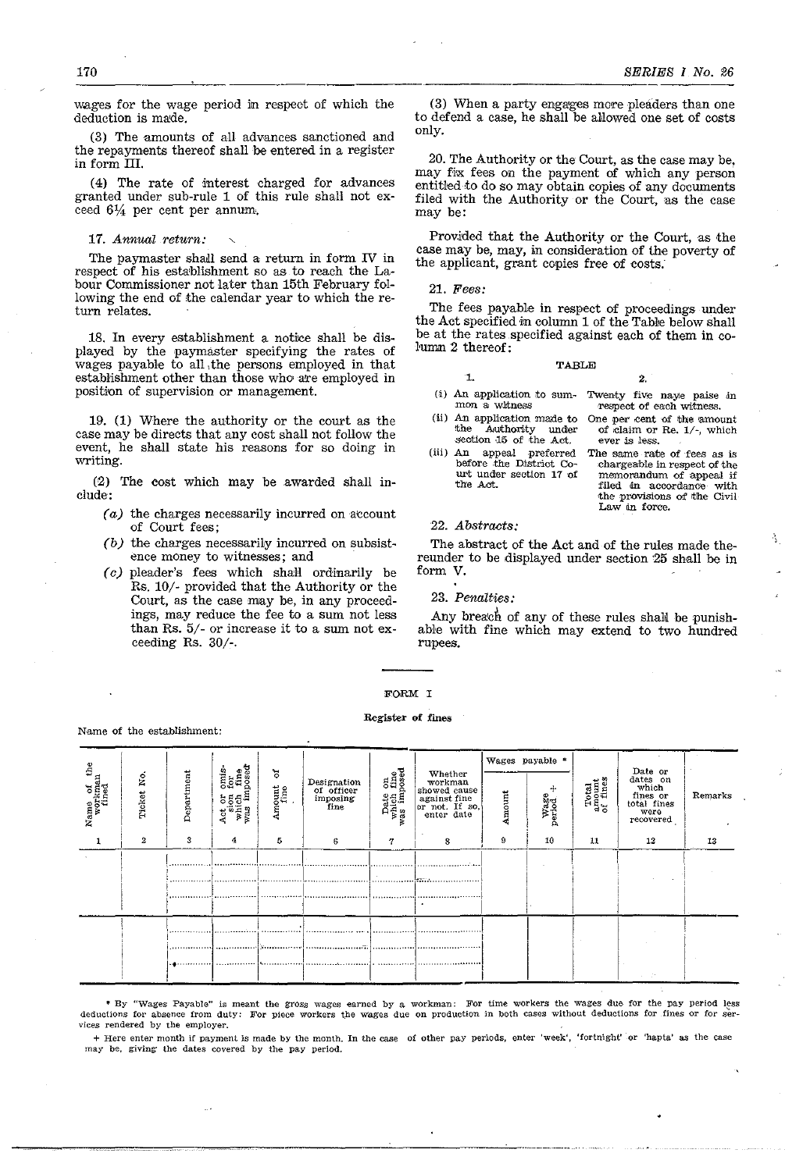wages for the wage period in respect of which the deduction is made.

(3) The amounts of aU advances sanctioned and the repayments thereof shall be entered in a register in form III.

(4) The rate of interest charged for advances granted under sub-rule 1 of this rule shall not exceed  $6\frac{1}{4}$  per cent per annum.

17. Annual return:

Name of the establishment:

The paymaster shall send a return in form IV in respect of his establishment so as to reach the Labour Commissioner not later than 15th February following the end of the calendar year to which the return relates.

18. In every establishment a notice shall be displayed by the paymaster specifying the rates of wages payab}e to all, the persons employed in that establishment other than those who are employed in position of supervision or management.

19. (1) Where the authority or the court as the case may be directs that any cost shall not follow the event, he shall state his reasons for so doing in writing.

(2) The eost which may be awarded shall include:

- $(a)$  the charges necessarily incurred on account of Court fees;
- *(b)* the charges necessarily incurred on subsistence money to witnesses; and
- (0) pleader's fees which shaH ordinarily be Rs. 10/- provided that the Authority or the Court, as the case may be, in any proceedings, may reduce the fee to a sum not less than Rs. 5/- or increase it to a sum not exceeding Rs. 30/-.

(3) When a party engages more pleaders than one to defend a case, he shall be allowed one set of costs only.

20. The Authority or the Court, as the case may be, may fix fees on the payment of which any person entitled to do so may obtain copies of any documents filed with the Authority or the Court, as the case may be:

Provided that the Authority or the Court, as the case may be, may, in consideration of the poverty of the applicant, grant copies free of costs:

*21. Fee8:* 

The fees payable in respect of proceedings under the Act specified in column 1 of the Table below shall be at the rates specified against each of them in column 2 thereof:

|    | <b>TABLE</b> |
|----|--------------|
| 1. |              |

- (i) An application to sum- Twenty five naye paise in mon a witness
- (ii) An application made to<br>the Authority under Authority under
- section 15 of the Act. (iii) An appeal preferred before the District Court under section 17 of the *Act*.

# 22. *Ab8tract8:*

The abstmct of the Act and of the rules made thereunder to be displayed under section '25 shall be in form V.

23. *Penaltie8:* 

able with fine which may extend to two hundred rupees.

# FORM I

### Register of fines

, I Wages payable \* f the<br>dan<br>No.  $\left| \right.$  Designation Date on<br>which fine<br>was imposed  $\begin{array}{|c|c|c|c|}\n\hline\n\text{L1} & \text{S1} & \text{Date} & \text{or} \\
\hline\n\text{L2} & \text{E1} & \text{where} & \text{which} \\
\text{M1} & \text{E1} & \text{finite} & \text{or} \\
\text{total} & \text{times} & \text{in} \\
\hline\n\end{array}$ omis<br>for<br>fine<br>posed  $5^{\circ}$ Whether<br>
workman<br>
showed cause<br>
against fine<br>
or not. If so,<br>
enter date Department ......<br>አളം Amount<br>fine of officer<br>
imposing<br>
fine  $\frac{36}{100}$ <br> $\frac{1}{100}$ <br> $\frac{1}{100}$ <br> $\frac{1}{100}$ ame<br>workne<br>fine<br>Ticket<br>Ticket I Remarks Amount  $\frac{1}{2}$   $\begin{array}{c|c|c|c|c} \n\frac{1}{2} & \frac{1}{2} & \frac{1}{2} & \frac{1}{2} & \frac{1}{2} & \frac{1}{2} & \frac{1}{2} & \frac{1}{2} & \frac{1}{2} & \frac{1}{2} & \frac{1}{2} & \frac{1}{2} & \frac{1}{2} & \frac{1}{2} & \frac{1}{2} & \frac{1}{2} & \frac{1}{2} & \frac{1}{2} & \frac{1}{2} & \frac{1}{2} & \frac{1}{2} & \frac{1}{2} & \frac{1}{2} & \frac{1}{2} & \$  $\begin{bmatrix} \vec{B} \\ \vec{B} \\ \vec{C} \\ \vec{B} \end{bmatrix}$   $\begin{bmatrix} H_{\vec{a}} \\ \vec{C} \\ \vec{C} \end{bmatrix}$  total times<br>recovered recovered I vas  $Z$  | F  $\begin{array}{c|c|c|c|c|c} \hline \end{array}$  1 2  $\begin{array}{|c|c|c|c|c|c|c|c|c|} \hline \end{array}$  3 4 8 | 5  $6 \qquad \qquad 7$  $9 \mid 10 \mid 11 \mid 12 \mid 13$ 1 ............ 1. J I <sup>I</sup> !H H.L .... - ··········1 ····1·· ························f·:··· ...... ·1 ...| : .. ············1' j'" I . . . . . .. . . . . . . . . . . . . .. ....... 1 I ···•·•·· .. :1

.. By "Wages Payable" is meant the gross wages earned by a workman: For time workers the wages due for the pay period less deductions for absence from duty: For piece workers the wages due on production in both cases without deductions for fines or for services rendered by the employer.

+ Here enter month if payment is made by the month. In the case of other pay periods. enter 'week', 'fortnight' or 'hapta' as the case may be, giving the dates covered by the pay period.

 $~\cdot$  . The constraint of the constraint of the constraint of the constraint of the constraint of the constraint of the constraint of the constraint of the constraint of the constraint of the constraint of the constraint

One per cent of the amount 'Of .claim or Re. 1/-, which ever .is *less.*  The same rate of fees as is chargeable in respect of the memorandum of appeal if filed in accordance with the provisions of the Civil

> .. ,

Law in force.

respect of each witness.

2.

Any breach of any of these rules shall be punish-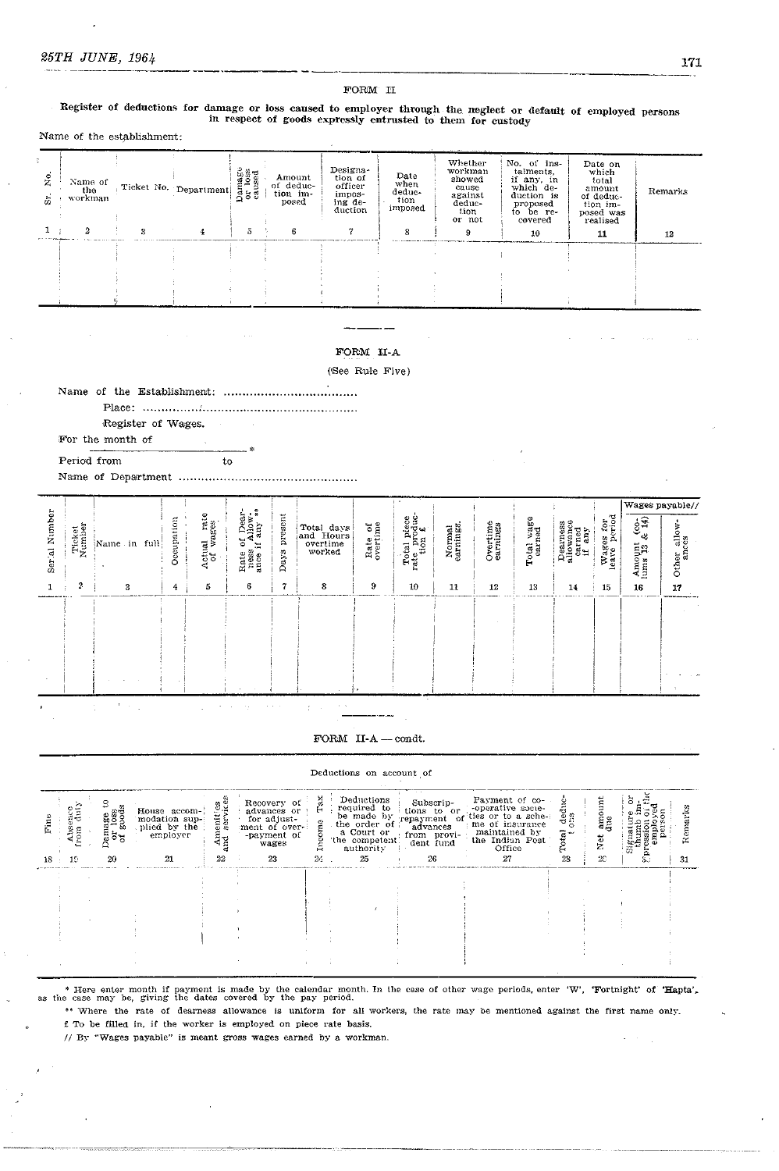FORM II

# Register of deductions for damage or loss caused to employer through the neglect or default of employed persons in respect of goods expressly entrusted to them for custody

Name of the establishment:

| $\overline{X}$<br>$\vec{\varpi}$ | Name of<br>the<br>workman | Ticket No. Department | $\begin{array}{c}\textbf{D} \textbf{a} \textbf{m} \textbf{a} \textbf{g} \textbf{s}\\\textbf{or} \textbf{loss}\\\textbf{caused}\end{array}$ | Designa-<br>Amount<br>tion of<br>of deduc-<br>officer<br>tion im-<br>impos-<br>posed<br>ing de-<br>duction |  | Date<br>when<br>deduc-<br>tion<br>imposed | and the contract part of the contract<br>Whether<br>workman<br>showed<br>cause<br>against<br>deduc-<br>tion<br>or not | No. of ins-<br>talments.<br>if any, in<br>which de-<br>duction is<br>proposed<br>to be re-<br>covered | Date on<br>which<br>total<br>amount<br>of deduc-<br>tion im-<br>posed was<br>realised | Remarks |  |
|----------------------------------|---------------------------|-----------------------|--------------------------------------------------------------------------------------------------------------------------------------------|------------------------------------------------------------------------------------------------------------|--|-------------------------------------------|-----------------------------------------------------------------------------------------------------------------------|-------------------------------------------------------------------------------------------------------|---------------------------------------------------------------------------------------|---------|--|
|                                  |                           |                       | 5                                                                                                                                          | 6                                                                                                          |  |                                           |                                                                                                                       | 10                                                                                                    | 11                                                                                    | 12      |  |
|                                  |                           |                       |                                                                                                                                            |                                                                                                            |  |                                           |                                                                                                                       |                                                                                                       |                                                                                       |         |  |

# FORM II-A

(See Rule Five)

|  | Register of Wages. |  |
|--|--------------------|--|

 $to$ 

For the month of

Period from

|                  |                  |                    |            |                              | -7                                                              |                 |                                               |                     |                                                  |                     |                      |            |                                           |                           |                                                     | Wages payable//      |
|------------------|------------------|--------------------|------------|------------------------------|-----------------------------------------------------------------|-----------------|-----------------------------------------------|---------------------|--------------------------------------------------|---------------------|----------------------|------------|-------------------------------------------|---------------------------|-----------------------------------------------------|----------------------|
| Number<br>Ser al | Ticket<br>Number | Name<br>full<br>in | Occupation | ctual rate<br>of wages<br>×. | f Dear-<br>Allow-<br>any **<br>ð<br>Ξ<br>Rate<br>ness<br>ance i | present<br>Days | Total days<br>and Hours<br>overtime<br>worked | Rate of<br>overtime | Total piece<br>rate produc-<br>tion $\mathbf{f}$ | Normal<br>earnings. | Overtime<br>earnings | Total wage | Dearness<br>allowance<br>earned<br>if any | Wages for<br>leave period | $\frac{6}{3}$<br>$\frac{3}{2}$<br>Amount<br>lums 13 | Other allow<br>ances |
|                  | 2                | 3                  | 4          | 5                            | 6                                                               | 7               | 8                                             | 9                   | 10                                               | 11                  | 12                   | 13         | 14                                        | 15                        | 16                                                  | 17                   |
| $\sim$           |                  |                    |            |                              |                                                                 |                 |                                               |                     |                                                  |                     |                      |            |                                           |                           |                                                     |                      |

 $\textbf{FORM}$  II-A -- condt.

# Deductions on account of

| $18 -$ | 19. | ទី៦មួ<br>20 | House accom-<br>modation sup-<br>plied by the<br>employer<br>21 | neniti<br>servi<br>₹<br>22 | Recovery of<br>advances or<br>for adjust-<br>ment of over-<br>-payment of<br>wages<br>23 | н<br>∽<br>$2\epsilon$ | Deductions<br>required to<br>be made by<br>the order of<br>a Court or<br>the competent.<br>authority<br>25 | Subscrip-<br>$\frac{1}{2}$ tions to $\frac{1}{2}$ to $\frac{1}{2}$<br>-or<br>advances<br>from provi-<br>dent fund<br>26 | Payment of co-<br>-operative socie-<br>ties or to a sche-<br>me of insurance<br>maintained by<br>the Indian Post<br>Office<br>27 | ರ ಜ<br>28 | z.<br>20 | 53 | -31 |
|--------|-----|-------------|-----------------------------------------------------------------|----------------------------|------------------------------------------------------------------------------------------|-----------------------|------------------------------------------------------------------------------------------------------------|-------------------------------------------------------------------------------------------------------------------------|----------------------------------------------------------------------------------------------------------------------------------|-----------|----------|----|-----|
|        |     |             |                                                                 |                            |                                                                                          |                       |                                                                                                            |                                                                                                                         |                                                                                                                                  |           |          |    |     |
|        |     |             |                                                                 |                            |                                                                                          |                       |                                                                                                            |                                                                                                                         |                                                                                                                                  |           |          |    |     |

\* Here enter month if payment is made by the calendar month. In the case of other wage periods, enter 'W', 'Fortnight' of 'Hapta', as the case may be, giving the dates covered by the pay period.

\*\* Where the rate of dearness allowance is uniform for all workers, the rate may be mentioned against the first name only. £ To be filled in, if the worker is employed on piece rate basis.

// By "Wages payable" is meant gross wages earned by a workman.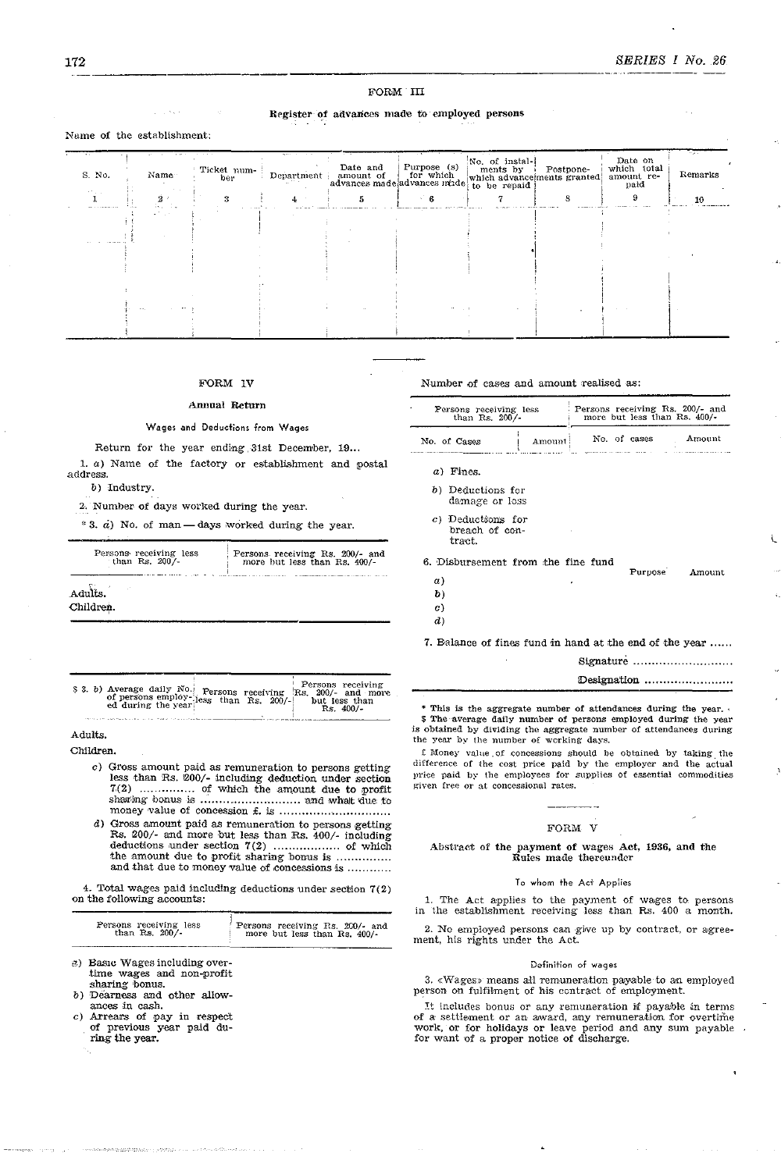# **ROBM** III

# Register of advances made to employed persons

# Name of the establishment:

| $\ddot{\phantom{1}}$<br>S. No. | Name                      | Ticket num-<br>ber | market control<br>Department | Date and<br>amount of for which<br>advances made advances made | Purpose (s) | No. of instal-<br>ments by<br>which advance ments granted<br>to be repaid | Postpone- | Date on<br>which total<br>amount re-<br>paid | المحاولة<br>Remarks |
|--------------------------------|---------------------------|--------------------|------------------------------|----------------------------------------------------------------|-------------|---------------------------------------------------------------------------|-----------|----------------------------------------------|---------------------|
| in the co                      | 2 <sup>o</sup><br>Georgia |                    |                              |                                                                |             |                                                                           |           |                                              | 10                  |
| -----------                    |                           |                    |                              |                                                                |             |                                                                           |           |                                              |                     |
|                                |                           |                    |                              |                                                                |             |                                                                           |           |                                              |                     |
|                                |                           |                    |                              |                                                                |             |                                                                           |           |                                              |                     |
|                                |                           |                    |                              |                                                                |             |                                                                           |           |                                              |                     |
|                                |                           |                    |                              |                                                                |             |                                                                           |           |                                              |                     |
|                                |                           |                    |                              |                                                                |             |                                                                           |           |                                              |                     |
|                                |                           |                    |                              |                                                                | $\sim$      |                                                                           |           |                                              |                     |
|                                |                           |                    |                              |                                                                |             |                                                                           |           |                                              |                     |

# FORM IV

### **Annual Return**

### Wages and Deductions from Wages

Return for the year ending 31st December, 19...

1.  $a)$  Name of the factory or establishment and postal address b) Industry.

2. Number of days worked during the year.

\* 3.  $\dot{a}$ ) No. of man - days worked during the year.

| Persons receiving less | Persons receiving Rs. 200/- and |
|------------------------|---------------------------------|
| than Rs. 200/-         | more but less than Rs. 400/-    |
| Adults.<br>Children.   |                                 |

|  | \$ 3. b) Average daily No. Persons receiving Rs. 200/- and more of persons employ-less than Rs. 200/- but less than $\frac{200}{R}$ have ed during the year. |  |  |  |  |  | Persons receiving<br>$Rs.400/-$ |  |
|--|--------------------------------------------------------------------------------------------------------------------------------------------------------------|--|--|--|--|--|---------------------------------|--|
|--|--------------------------------------------------------------------------------------------------------------------------------------------------------------|--|--|--|--|--|---------------------------------|--|

# Adults.

Children.

c) Gross amount paid as remuneration to persons getting<br>less than Rs. 200/- including deduction under section<br> $7(2)$  .................... of which the amount due to profit<br>sharing bonus is ................................ 

d) Gross amount paid as remuneration to persons getting<br>Rs.  $200/-$  and more but less than Rs.  $400/-$  including 

4. Total wages paid including deductions under section 7(2) on the following accounts:

| Persons receiving less | Persons receiving Rs. 200/- and |
|------------------------|---------------------------------|
| than Rs. $200/$        | more but less than Rs. 400/-    |
|                        |                                 |

- a) Basic Wages including overtime wages and non-profit sharing bonus.
- Dearness and other allowances in cash.
- c) Arrears of pay in respect<br>of previous year paid during the year.
- 

Number of cases and amount realised as:

| Persons receiving less<br>than Rs. $200/-$                                                     |        | Persons receiving Rs. 200/- and<br>more but less than Rs. 400/- |              |                                                           |  |  |  |
|------------------------------------------------------------------------------------------------|--------|-----------------------------------------------------------------|--------------|-----------------------------------------------------------|--|--|--|
| No. of Cases                                                                                   | Amount |                                                                 | No. of cases | Amount                                                    |  |  |  |
| a) Fines.                                                                                      |        |                                                                 |              |                                                           |  |  |  |
| b) Deductions for<br>damage or loss                                                            |        |                                                                 |              |                                                           |  |  |  |
| c) Deductions for<br>breach of con-<br>tract.                                                  |        |                                                                 |              |                                                           |  |  |  |
| 6. Disbursement from the fine fund<br>a)<br>$\bm{b}$<br>$\mathfrak{c}$ )<br>$\boldsymbol{d}$ ) |        |                                                                 | Purpose      | Amount                                                    |  |  |  |
| 7. Balance of fines fund in hand at the end of the year                                        |        |                                                                 |              |                                                           |  |  |  |
|                                                                                                |        |                                                                 |              | Signature $\dots\dots\dots\dots\dots\dots\dots\dots\dots$ |  |  |  |
|                                                                                                |        |                                                                 |              | Designation                                               |  |  |  |

\* This is the aggregate number of attendances during the year. \$ The average daily number of persons employed during the year is obtained by dividing the aggregate number of attendances during

the year by the number of working days. £ Money value of concessions should be obtained by taking the difference of the cost price paid by the employer and the actual price paid by the employees for supplies of essential commodities given free or at concessional rates.

# FORM V

### Abstract of the payment of wages Act, 1936, and the Rules made thereunder

# To whom the Act Applies

1. The Act applies to the payment of wages to persons in the establishment receiving less than Rs.  $400$  a month.

2. No employed persons can give up by contract, or agreement, his rights under the Act.

### Definition of wages

 $3.$   $\ll$  Wages» means all remuneration payable to an employed person on fulfilment of his contract of employment.

It includes bonus or any remuneration if payable in terms of a settlement or an award, any remuneration for overtime<br>work, or for holidays or leave period and any sum payable<br>for want of a proper notice of discharge.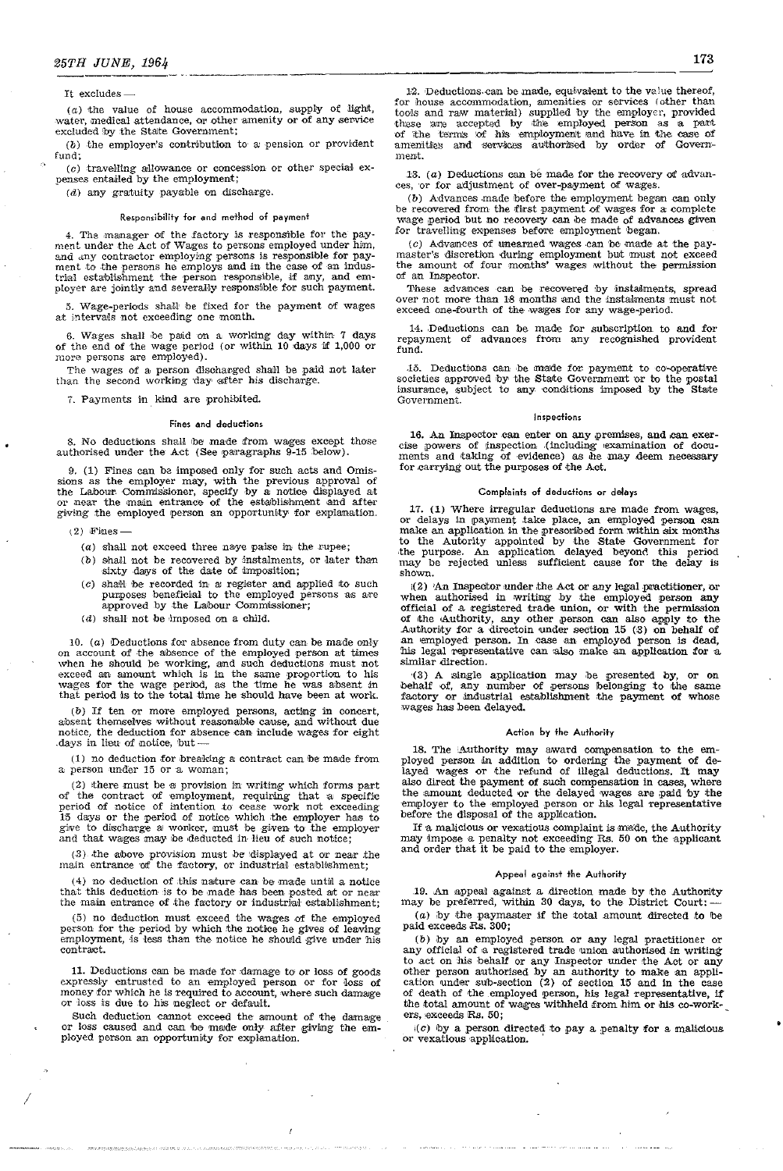### It excludes-

 $(a)$  the value of house accommodation, supply of light, water, medical attendance, or other amenity or of any service excluded by the State Government;

 $(b)$  the employer's contribution to a pension or provident  $f$ <sub>11</sub> $d$ <sup> $\cdot$ </sup>

(c) travelling allowance or concession or other special expenses entailed by the employment;

 $(d)$  any gratuity payable on discharge.

# Responsibility for and method of payment

4. The manager of the factory is responsible for the payment under the Act of Wages to persons employed under him, and any contractor employing persons is responsible for payment to the persons he employs and in the case o trial establishment the person responsible, if any, and employer are jointly and severally responsible for such payment.

5. Wage-periods shall be fixed for the payment of wages at intervals not exceeding one month.

6. Wages shall be paid on a working day within 7 days of the end of the wage period (or within 10 days if  $1,000$  or more persons are employed).

The wages of a person discharged shall be paid not later than the second working day after his discharge.

7. Payments in kind are prohibited.

### Fines and deductions

8. No deductions shall be made from wages except those authorised under the Act (See paragraphs 9-15 below).

9. (1) Fines can be imposed only for such acts and Omis-9. (1) sines can be imposed only for such a state of the Labour Sions as the employer may, with the previous approval of the Labour Commissioner, specify by a notice displayed at or near the main entrance of the establishm

- $(2)$  Fines
	- $(a)$  shall not exceed three naye paise in the rupee;
	- (b) shall not be recovered by instalments, or later than sixty days of the date of imposition;
	- $(c)$  shall be recorded in a register and applied to such purposes beneficial to the employed persons as are approved by the Labour Commissioner;
	- $(d)$  shall not be imposed on a child.

10.  $(a)$  Deductions for absence from duty can be made only on account of the absence of the employed person at times on account or the absence of the employed person at tunes<br>when he should be working, and such deductions must not<br>exceed an amount which is in the same proportion to his<br>wages for the wage period, as the time he was absent

 $(b)$  If ten or more employed persons, acting in concert, absent themselves without reasonable cause, and without due notice, the deduction for absence can include wages for eight days in lieu of notice, but.

 $(1)$  no deduction for breaking a contract can be made from a person under 15 or a woman;

(2) there must be a provision in writing which forms part (2) there must be a provision in writing which forms part<br>of the contract of employment, requiring that a specific<br>period of notice of intention to cease work not exceeding<br>15 days or the period of notice which the employ

 $(3)$  the above provision must be displayed at or near the main entrance of the factory, or industrial establishment;

 $(4)$  no deduction of this nature can be made until a notice that this deduction is to be made has been posted at or near<br>the main entrance of the factory or industrial establishment;

(5) no deduction must exceed the wages of the employed person for the period by which the notice he gives of leaving<br>employment, is less than the notice he should give under his contract.

11. Deductions can be made for damage to or loss of goods expressly entrusted to an employed person or for loss of money for which he is required to account, where such damage or loss is due to his neglect or default.

Such deduction cannot exceed the amount of the damage or loss caused and can be made only after giving the employed person an opportunity for explanation.

12. Deductions can be made, equivalent to the value thereof, Ex. Detuctions can be made, equivalent to the value of the than<br>tools and raw material) supplied by the employer, provided<br>these are accepted by the employed person as a part<br>of the terms of his employment and have in the amenities and services authorised by order of Government

13.  $(a)$  Deductions can be made for the recovery of advances, or for adjustment of over-payment of wages.

(b) Advances made before the employment began can only be recovered from the first payment of wages for a complete wage period but no recovery can be made of advances given for travelling expenses before employment began.

(c) Advances of unearned wages can be made at the paymaster's discretion during employment but must not exceed the amount of four months' wages without the permission of an Inspector.

These advances can be recovered by instalments, spread over not more than 18 months and the instalments must not exceed one-fourth of the wages for any wage-period.

14. Deductions can be made for subscription to and for<br>repayment of advances from any recognished provident fund.

Deductions can be made for payment to co-operative  $15.$ societies approved by the State Government or to the postal insurance, subject to any conditions imposed by the State Government.

### Inspections

16. An Inspector can enter on any premises, and can exercise powers of inspection (including examination of docu-<br>ments and taking of evidence) as he may deem necessary for carrying out the purposes of the Act.

# Complaints of deductions or delays

17. (1) Where irregular deductions are made from wages or delays in payment take place, an employed person can of detays an including take phase include the presenting details and calculate an application in the presentined form within six months to the Autority appointed by the State Government for the purpose. An application dela shown.

 $\left( 2\right)$ 'An Inspector under the Act or any legal practitioner, or when authorised in writing by the employed person any official of a registered trade union, or with the permission of the dathbority, any other person can also apply to the Authority for a directoin under section 15 (3) on behalf of an employed person. In case an employed person is dead, his legal representative can also make an applic similar direction.

(3) A single application may be presented by, or on behalf of, any number of persons belonging to the same factory or industrial establishment the payment of whose wages has been delayed.

# Action by the Authority

18. The Authority may award compensation to the em-18. The Exitency may award compensation to the em-<br>ployed person in addition to ordering the payment of de-<br>layed wages or the refund of illegal deductions. It may<br>also direct the payment of such compensation in cases, whe before the disposal of the application.

If a malicious or vexatious complaint is made, the Authority<br>may impose a penalty not exceeding Rs. 50 on the applicant and order that it be paid to the employer.

# Appeal against the Authority

19. An appeal against a direction made by the Authority may be preferred, within 30 days, to the District Court:

 $(a)$  by the paymaster if the total amount directed to be paid exceeds Rs. 300;

(b) by an employed person or any legal practitioner or any official of a registered trade union authorised in writing to act on his behalf or any Inspector under the Act or any<br>other person authorised by an authority to make an appli-<br>cation under sub-section (2) of section 15 and in the case of death of the employed person, his legal representative, if the total amount of wages withheld from him or his co-work-<br>ers, exceeds Rs. 50;

 $(C)$  by a person directed to pay a penalty for a malicious or vexatious application.